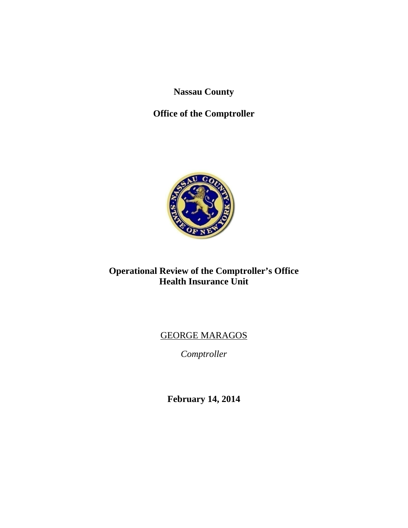**Nassau County** 

# **Office of the Comptroller**



# **Operational Review of the Comptroller's Office Health Insurance Unit**

# GEORGE MARAGOS

*Comptroller* 

**February 14, 2014**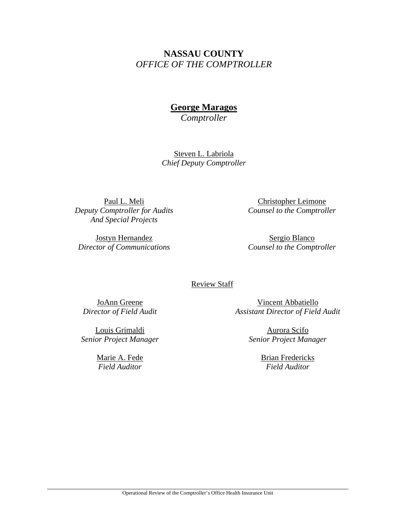# **NASSAU COUNTY**  *OFFICE OF THE COMPTROLLER*

# **George Maragos**

*Comptroller* 

Steven L. Labriola *Chief Deputy Comptroller* 

Paul L. Meli *Deputy Comptroller for Audits And Special Projects* 

Jostyn Hernandez *Director of Communications* 

Christopher Leimone *Counsel to the Comptroller* 

Sergio Blanco *Counsel to the Comptroller* 

### Review Staff

JoAnn Greene *Director of Field Audit* 

Louis Grimaldi *Senior Project Manager*

> Marie A. Fede *Field Auditor*

Vincent Abbatiello *Assistant Director of Field Audit* 

> Aurora Scifo *Senior Project Manager*

> > Brian Fredericks *Field Auditor*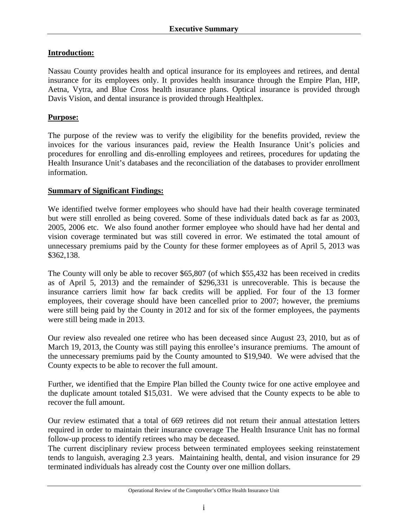### **Introduction:**

Nassau County provides health and optical insurance for its employees and retirees, and dental insurance for its employees only. It provides health insurance through the Empire Plan, HIP, Aetna, Vytra, and Blue Cross health insurance plans. Optical insurance is provided through Davis Vision, and dental insurance is provided through Healthplex.

### **Purpose:**

The purpose of the review was to verify the eligibility for the benefits provided, review the invoices for the various insurances paid, review the Health Insurance Unit's policies and procedures for enrolling and dis-enrolling employees and retirees, procedures for updating the Health Insurance Unit's databases and the reconciliation of the databases to provider enrollment information.

### **Summary of Significant Findings:**

We identified twelve former employees who should have had their health coverage terminated but were still enrolled as being covered. Some of these individuals dated back as far as 2003, 2005, 2006 etc. We also found another former employee who should have had her dental and vision coverage terminated but was still covered in error. We estimated the total amount of unnecessary premiums paid by the County for these former employees as of April 5, 2013 was \$362,138.

The County will only be able to recover \$65,807 (of which \$55,432 has been received in credits as of April 5, 2013) and the remainder of \$296,331 is unrecoverable. This is because the insurance carriers limit how far back credits will be applied. For four of the 13 former employees, their coverage should have been cancelled prior to 2007; however, the premiums were still being paid by the County in 2012 and for six of the former employees, the payments were still being made in 2013.

Our review also revealed one retiree who has been deceased since August 23, 2010, but as of March 19, 2013, the County was still paying this enrollee's insurance premiums. The amount of the unnecessary premiums paid by the County amounted to \$19,940. We were advised that the County expects to be able to recover the full amount.

Further, we identified that the Empire Plan billed the County twice for one active employee and the duplicate amount totaled \$15,031. We were advised that the County expects to be able to recover the full amount.

Our review estimated that a total of 669 retirees did not return their annual attestation letters required in order to maintain their insurance coverage The Health Insurance Unit has no formal follow-up process to identify retirees who may be deceased.

The current disciplinary review process between terminated employees seeking reinstatement tends to languish, averaging 2.3 years. Maintaining health, dental, and vision insurance for 29 terminated individuals has already cost the County over one million dollars.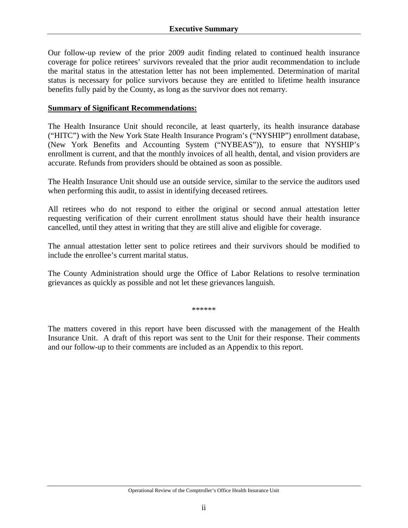Our follow-up review of the prior 2009 audit finding related to continued health insurance coverage for police retirees' survivors revealed that the prior audit recommendation to include the marital status in the attestation letter has not been implemented. Determination of marital status is necessary for police survivors because they are entitled to lifetime health insurance benefits fully paid by the County, as long as the survivor does not remarry.

#### **Summary of Significant Recommendations:**

The Health Insurance Unit should reconcile, at least quarterly, its health insurance database ("HITC") with the New York State Health Insurance Program's ("NYSHIP") enrollment database, (New York Benefits and Accounting System ("NYBEAS")), to ensure that NYSHIP's enrollment is current, and that the monthly invoices of all health, dental, and vision providers are accurate. Refunds from providers should be obtained as soon as possible.

The Health Insurance Unit should use an outside service, similar to the service the auditors used when performing this audit, to assist in identifying deceased retirees.

All retirees who do not respond to either the original or second annual attestation letter requesting verification of their current enrollment status should have their health insurance cancelled, until they attest in writing that they are still alive and eligible for coverage.

The annual attestation letter sent to police retirees and their survivors should be modified to include the enrollee's current marital status.

The County Administration should urge the Office of Labor Relations to resolve termination grievances as quickly as possible and not let these grievances languish.

\*\*\*\*\*\*

The matters covered in this report have been discussed with the management of the Health Insurance Unit. A draft of this report was sent to the Unit for their response. Their comments and our follow-up to their comments are included as an Appendix to this report.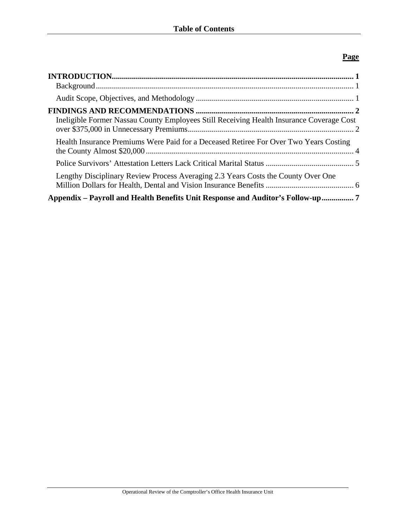## **Page**

| Ineligible Former Nassau County Employees Still Receiving Health Insurance Coverage Cost |  |
|------------------------------------------------------------------------------------------|--|
| Health Insurance Premiums Were Paid for a Deceased Retiree For Over Two Years Costing    |  |
|                                                                                          |  |
| Lengthy Disciplinary Review Process Averaging 2.3 Years Costs the County Over One        |  |
| Appendix – Payroll and Health Benefits Unit Response and Auditor's Follow-up             |  |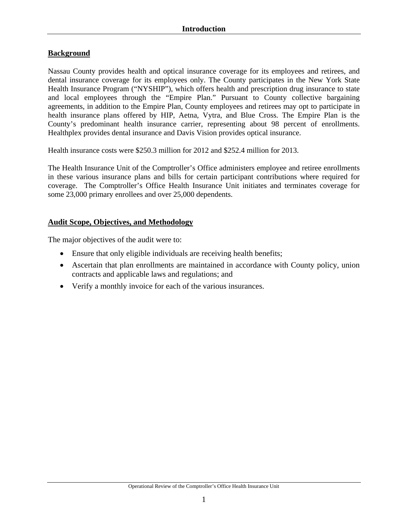## **Background**

Nassau County provides health and optical insurance coverage for its employees and retirees, and dental insurance coverage for its employees only. The County participates in the New York State Health Insurance Program ("NYSHIP"), which offers health and prescription drug insurance to state and local employees through the "Empire Plan." Pursuant to County collective bargaining agreements, in addition to the Empire Plan, County employees and retirees may opt to participate in health insurance plans offered by HIP, Aetna, Vytra, and Blue Cross. The Empire Plan is the County's predominant health insurance carrier, representing about 98 percent of enrollments. Healthplex provides dental insurance and Davis Vision provides optical insurance.

Health insurance costs were \$250.3 million for 2012 and \$252.4 million for 2013.

The Health Insurance Unit of the Comptroller's Office administers employee and retiree enrollments in these various insurance plans and bills for certain participant contributions where required for coverage. The Comptroller's Office Health Insurance Unit initiates and terminates coverage for some 23,000 primary enrollees and over 25,000 dependents.

### **Audit Scope, Objectives, and Methodology**

The major objectives of the audit were to:

- Ensure that only eligible individuals are receiving health benefits;
- Ascertain that plan enrollments are maintained in accordance with County policy, union contracts and applicable laws and regulations; and
- Verify a monthly invoice for each of the various insurances.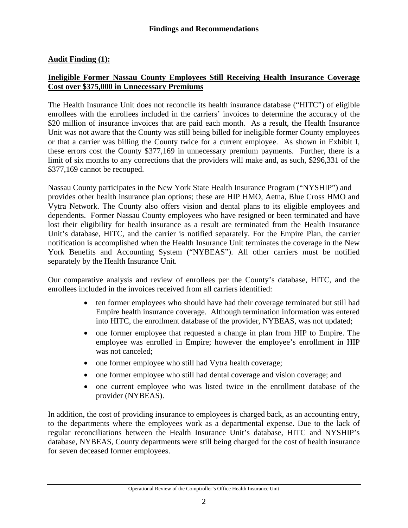### **Audit Finding (1):**

### **Ineligible Former Nassau County Employees Still Receiving Health Insurance Coverage Cost over \$375,000 in Unnecessary Premiums**

The Health Insurance Unit does not reconcile its health insurance database ("HITC") of eligible enrollees with the enrollees included in the carriers' invoices to determine the accuracy of the \$20 million of insurance invoices that are paid each month. As a result, the Health Insurance Unit was not aware that the County was still being billed for ineligible former County employees or that a carrier was billing the County twice for a current employee. As shown in Exhibit I, these errors cost the County \$377,169 in unnecessary premium payments. Further, there is a limit of six months to any corrections that the providers will make and, as such, \$296,331 of the \$377,169 cannot be recouped.

Nassau County participates in the New York State Health Insurance Program ("NYSHIP") and provides other health insurance plan options; these are HIP HMO, Aetna, Blue Cross HMO and Vytra Network. The County also offers vision and dental plans to its eligible employees and dependents. Former Nassau County employees who have resigned or been terminated and have lost their eligibility for health insurance as a result are terminated from the Health Insurance Unit's database, HITC, and the carrier is notified separately. For the Empire Plan, the carrier notification is accomplished when the Health Insurance Unit terminates the coverage in the New York Benefits and Accounting System ("NYBEAS"). All other carriers must be notified separately by the Health Insurance Unit.

Our comparative analysis and review of enrollees per the County's database, HITC, and the enrollees included in the invoices received from all carriers identified:

- ten former employees who should have had their coverage terminated but still had Empire health insurance coverage. Although termination information was entered into HITC, the enrollment database of the provider, NYBEAS, was not updated;
- one former employee that requested a change in plan from HIP to Empire. The employee was enrolled in Empire; however the employee's enrollment in HIP was not canceled;
- one former employee who still had Vytra health coverage;
- one former employee who still had dental coverage and vision coverage; and
- one current employee who was listed twice in the enrollment database of the provider (NYBEAS).

In addition, the cost of providing insurance to employees is charged back, as an accounting entry, to the departments where the employees work as a departmental expense. Due to the lack of regular reconciliations between the Health Insurance Unit's database, HITC and NYSHIP's database, NYBEAS, County departments were still being charged for the cost of health insurance for seven deceased former employees.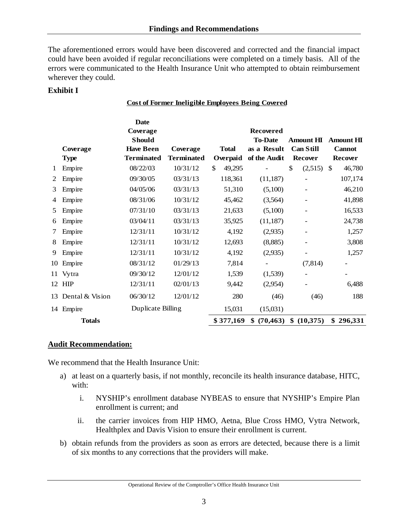The aforementioned errors would have been discovered and corrected and the financial impact could have been avoided if regular reconciliations were completed on a timely basis. All of the errors were communicated to the Health Insurance Unit who attempted to obtain reimbursement wherever they could.

**Cost of Former Ineligible Employees Being Covered**

### **Exhibit I**

|    |                    | <b>Date</b><br>Coverage |                   |              | <b>Recovered</b>         |                  |                  |
|----|--------------------|-------------------------|-------------------|--------------|--------------------------|------------------|------------------|
|    |                    | <b>Should</b>           |                   |              | <b>To-Date</b>           | <b>Amount HI</b> | <b>Amount HI</b> |
|    | Coverage           | <b>Have Been</b>        | Coverage          | <b>Total</b> | as a Result              | <b>Can Still</b> | <b>Cannot</b>    |
|    | <b>Type</b>        | <b>Terminated</b>       | <b>Terminated</b> | Overpaid     | of the Audit             | <b>Recover</b>   | <b>Recover</b>   |
| 1  | Empire             | 08/22/03                | 10/31/12          | \$<br>49,295 |                          | \$<br>(2,515)    | \$<br>46,780     |
| 2  | Empire             | 09/30/05                | 03/31/13          | 118,361      | (11, 187)                |                  | 107,174          |
| 3  | Empire             | 04/05/06                | 03/31/13          | 51,310       | (5,100)                  |                  | 46,210           |
| 4  | Empire             | 08/31/06                | 10/31/12          | 45,462       | (3,564)                  |                  | 41,898           |
| 5  | Empire             | 07/31/10                | 03/31/13          | 21,633       | (5,100)                  |                  | 16,533           |
| 6  | Empire             | 03/04/11                | 03/31/13          | 35,925       | (11, 187)                |                  | 24,738           |
| 7  | Empire             | 12/31/11                | 10/31/12          | 4,192        | (2,935)                  |                  | 1,257            |
| 8  | Empire             | 12/31/11                | 10/31/12          | 12,693       | (8,885)                  |                  | 3,808            |
| 9  | Empire             | 12/31/11                | 10/31/12          | 4,192        | (2,935)                  |                  | 1,257            |
| 10 | Empire             | 08/31/12                | 01/29/13          | 7,814        | $\overline{\phantom{a}}$ | (7, 814)         |                  |
|    | 11 Vytra           | 09/30/12                | 12/01/12          | 1,539        | (1,539)                  |                  |                  |
|    | 12 HIP             | 12/31/11                | 02/01/13          | 9,442        | (2,954)                  |                  | 6,488            |
|    | 13 Dental & Vision | 06/30/12                | 12/01/12          | 280          | (46)                     | (46)             | 188              |
|    | 14 Empire          | Duplicate Billing       |                   | 15,031       | (15,031)                 |                  |                  |
|    | <b>Totals</b>      |                         |                   | \$377,169    | (70, 463)<br>\$          | \$ (10,375)      | \$296,331        |

#### **Audit Recommendation:**

We recommend that the Health Insurance Unit:

- a) at least on a quarterly basis, if not monthly, reconcile its health insurance database, HITC, with:
	- i. NYSHIP's enrollment database NYBEAS to ensure that NYSHIP's Empire Plan enrollment is current; and
	- ii. the carrier invoices from HIP HMO, Aetna, Blue Cross HMO, Vytra Network, Healthplex and Davis Vision to ensure their enrollment is current.
- b) obtain refunds from the providers as soon as errors are detected, because there is a limit of six months to any corrections that the providers will make.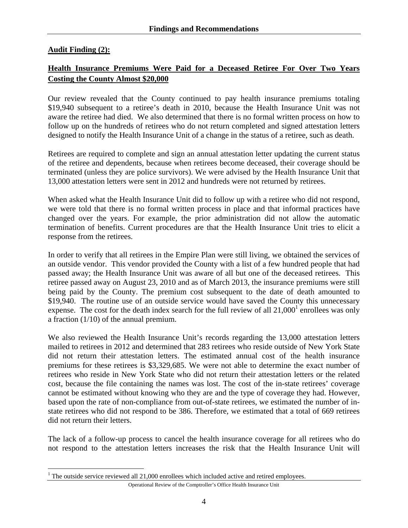### **Audit Finding (2):**

 $\overline{a}$ 

## **Health Insurance Premiums Were Paid for a Deceased Retiree For Over Two Years Costing the County Almost \$20,000**

Our review revealed that the County continued to pay health insurance premiums totaling \$19,940 subsequent to a retiree's death in 2010, because the Health Insurance Unit was not aware the retiree had died. We also determined that there is no formal written process on how to follow up on the hundreds of retirees who do not return completed and signed attestation letters designed to notify the Health Insurance Unit of a change in the status of a retiree, such as death.

Retirees are required to complete and sign an annual attestation letter updating the current status of the retiree and dependents, because when retirees become deceased, their coverage should be terminated (unless they are police survivors). We were advised by the Health Insurance Unit that 13,000 attestation letters were sent in 2012 and hundreds were not returned by retirees.

When asked what the Health Insurance Unit did to follow up with a retiree who did not respond, we were told that there is no formal written process in place and that informal practices have changed over the years. For example, the prior administration did not allow the automatic termination of benefits. Current procedures are that the Health Insurance Unit tries to elicit a response from the retirees.

In order to verify that all retirees in the Empire Plan were still living, we obtained the services of an outside vendor. This vendor provided the County with a list of a few hundred people that had passed away; the Health Insurance Unit was aware of all but one of the deceased retirees. This retiree passed away on August 23, 2010 and as of March 2013, the insurance premiums were still being paid by the County. The premium cost subsequent to the date of death amounted to \$19,940. The routine use of an outside service would have saved the County this unnecessary expense. The cost for the death index search for the full review of all  $21,000<sup>1</sup>$  enrollees was only a fraction (1/10) of the annual premium.

We also reviewed the Health Insurance Unit's records regarding the 13,000 attestation letters mailed to retirees in 2012 and determined that 283 retirees who reside outside of New York State did not return their attestation letters. The estimated annual cost of the health insurance premiums for these retirees is \$3,329,685. We were not able to determine the exact number of retirees who reside in New York State who did not return their attestation letters or the related cost, because the file containing the names was lost. The cost of the in-state retirees' coverage cannot be estimated without knowing who they are and the type of coverage they had. However, based upon the rate of non-compliance from out-of-state retirees, we estimated the number of instate retirees who did not respond to be 386. Therefore, we estimated that a total of 669 retirees did not return their letters.

The lack of a follow-up process to cancel the health insurance coverage for all retirees who do not respond to the attestation letters increases the risk that the Health Insurance Unit will

Operational Review of the Comptroller's Office Health Insurance Unit

<sup>&</sup>lt;sup>1</sup> The outside service reviewed all  $21,000$  enrollees which included active and retired employees.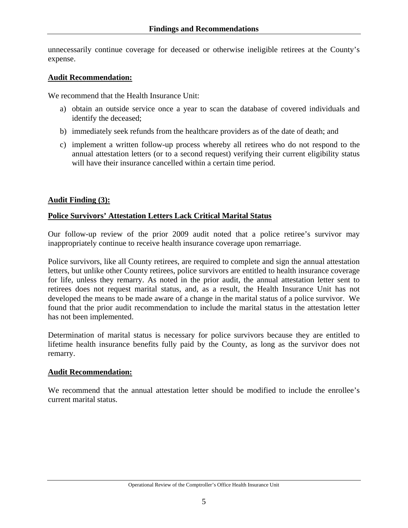unnecessarily continue coverage for deceased or otherwise ineligible retirees at the County's expense.

#### **Audit Recommendation:**

We recommend that the Health Insurance Unit:

- a) obtain an outside service once a year to scan the database of covered individuals and identify the deceased;
- b) immediately seek refunds from the healthcare providers as of the date of death; and
- c) implement a written follow-up process whereby all retirees who do not respond to the annual attestation letters (or to a second request) verifying their current eligibility status will have their insurance cancelled within a certain time period.

### **Audit Finding (3):**

### **Police Survivors' Attestation Letters Lack Critical Marital Status**

Our follow-up review of the prior 2009 audit noted that a police retiree's survivor may inappropriately continue to receive health insurance coverage upon remarriage.

Police survivors, like all County retirees, are required to complete and sign the annual attestation letters, but unlike other County retirees, police survivors are entitled to health insurance coverage for life, unless they remarry. As noted in the prior audit, the annual attestation letter sent to retirees does not request marital status, and, as a result, the Health Insurance Unit has not developed the means to be made aware of a change in the marital status of a police survivor. We found that the prior audit recommendation to include the marital status in the attestation letter has not been implemented.

Determination of marital status is necessary for police survivors because they are entitled to lifetime health insurance benefits fully paid by the County, as long as the survivor does not remarry.

### **Audit Recommendation:**

We recommend that the annual attestation letter should be modified to include the enrollee's current marital status.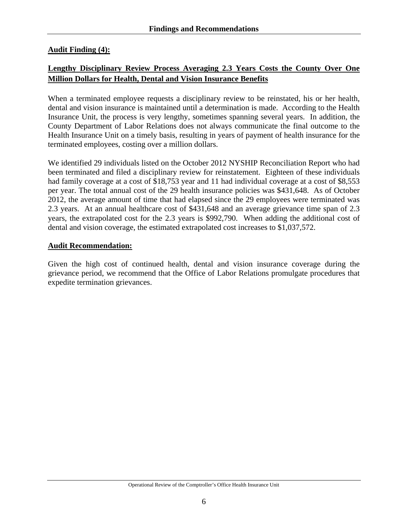## **Audit Finding (4):**

# **Lengthy Disciplinary Review Process Averaging 2.3 Years Costs the County Over One Million Dollars for Health, Dental and Vision Insurance Benefits**

When a terminated employee requests a disciplinary review to be reinstated, his or her health, dental and vision insurance is maintained until a determination is made. According to the Health Insurance Unit, the process is very lengthy, sometimes spanning several years. In addition, the County Department of Labor Relations does not always communicate the final outcome to the Health Insurance Unit on a timely basis, resulting in years of payment of health insurance for the terminated employees, costing over a million dollars.

We identified 29 individuals listed on the October 2012 NYSHIP Reconciliation Report who had been terminated and filed a disciplinary review for reinstatement. Eighteen of these individuals had family coverage at a cost of \$18,753 year and 11 had individual coverage at a cost of \$8,553 per year. The total annual cost of the 29 health insurance policies was \$431,648. As of October 2012, the average amount of time that had elapsed since the 29 employees were terminated was 2.3 years. At an annual healthcare cost of \$431,648 and an average grievance time span of 2.3 years, the extrapolated cost for the 2.3 years is \$992,790. When adding the additional cost of dental and vision coverage, the estimated extrapolated cost increases to \$1,037,572.

### **Audit Recommendation:**

Given the high cost of continued health, dental and vision insurance coverage during the grievance period, we recommend that the Office of Labor Relations promulgate procedures that expedite termination grievances.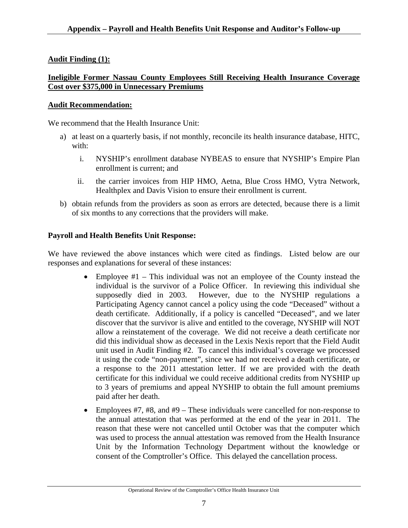# **Audit Finding (1):**

### **Ineligible Former Nassau County Employees Still Receiving Health Insurance Coverage Cost over \$375,000 in Unnecessary Premiums**

### **Audit Recommendation:**

We recommend that the Health Insurance Unit:

- a) at least on a quarterly basis, if not monthly, reconcile its health insurance database, HITC, with:
	- i. NYSHIP's enrollment database NYBEAS to ensure that NYSHIP's Empire Plan enrollment is current; and
	- ii. the carrier invoices from HIP HMO, Aetna, Blue Cross HMO, Vytra Network, Healthplex and Davis Vision to ensure their enrollment is current.
- b) obtain refunds from the providers as soon as errors are detected, because there is a limit of six months to any corrections that the providers will make.

## **Payroll and Health Benefits Unit Response:**

We have reviewed the above instances which were cited as findings. Listed below are our responses and explanations for several of these instances:

- Employee #1 This individual was not an employee of the County instead the individual is the survivor of a Police Officer. In reviewing this individual she supposedly died in 2003. However, due to the NYSHIP regulations a Participating Agency cannot cancel a policy using the code "Deceased" without a death certificate. Additionally, if a policy is cancelled "Deceased", and we later discover that the survivor is alive and entitled to the coverage, NYSHIP will NOT allow a reinstatement of the coverage. We did not receive a death certificate nor did this individual show as deceased in the Lexis Nexis report that the Field Audit unit used in Audit Finding #2. To cancel this individual's coverage we processed it using the code "non-payment", since we had not received a death certificate, or a response to the 2011 attestation letter. If we are provided with the death certificate for this individual we could receive additional credits from NYSHIP up to 3 years of premiums and appeal NYSHIP to obtain the full amount premiums paid after her death.
- Employees  $#7, #8,$  and  $#9$  These individuals were cancelled for non-response to the annual attestation that was performed at the end of the year in 2011. The reason that these were not cancelled until October was that the computer which was used to process the annual attestation was removed from the Health Insurance Unit by the Information Technology Department without the knowledge or consent of the Comptroller's Office. This delayed the cancellation process.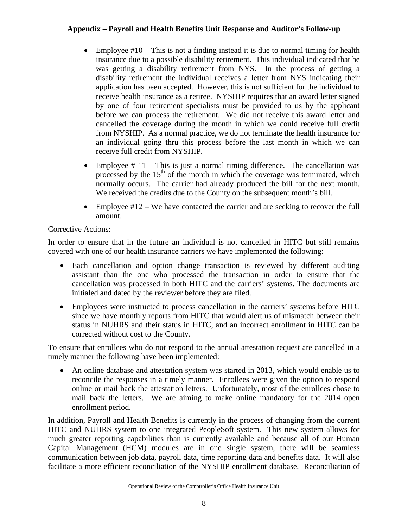- Employee  $#10$  This is not a finding instead it is due to normal timing for health insurance due to a possible disability retirement. This individual indicated that he was getting a disability retirement from NYS. In the process of getting a disability retirement the individual receives a letter from NYS indicating their application has been accepted. However, this is not sufficient for the individual to receive health insurance as a retiree. NYSHIP requires that an award letter signed by one of four retirement specialists must be provided to us by the applicant before we can process the retirement. We did not receive this award letter and cancelled the coverage during the month in which we could receive full credit from NYSHIP. As a normal practice, we do not terminate the health insurance for an individual going thru this process before the last month in which we can receive full credit from NYSHIP.
- Employee  $# 11$  This is just a normal timing difference. The cancellation was processed by the 15<sup>th</sup> of the month in which the coverage was terminated, which normally occurs. The carrier had already produced the bill for the next month. We received the credits due to the County on the subsequent month's bill.
- Employee  $\#12 -$  We have contacted the carrier and are seeking to recover the full amount.

# Corrective Actions:

In order to ensure that in the future an individual is not cancelled in HITC but still remains covered with one of our health insurance carriers we have implemented the following:

- Each cancellation and option change transaction is reviewed by different auditing assistant than the one who processed the transaction in order to ensure that the cancellation was processed in both HITC and the carriers' systems. The documents are initialed and dated by the reviewer before they are filed.
- Employees were instructed to process cancellation in the carriers' systems before HITC since we have monthly reports from HITC that would alert us of mismatch between their status in NUHRS and their status in HITC, and an incorrect enrollment in HITC can be corrected without cost to the County.

To ensure that enrollees who do not respond to the annual attestation request are cancelled in a timely manner the following have been implemented:

• An online database and attestation system was started in 2013, which would enable us to reconcile the responses in a timely manner. Enrollees were given the option to respond online or mail back the attestation letters. Unfortunately, most of the enrollees chose to mail back the letters. We are aiming to make online mandatory for the 2014 open enrollment period.

In addition, Payroll and Health Benefits is currently in the process of changing from the current HITC and NUHRS system to one integrated PeopleSoft system. This new system allows for much greater reporting capabilities than is currently available and because all of our Human Capital Management (HCM) modules are in one single system, there will be seamless communication between job data, payroll data, time reporting data and benefits data. It will also facilitate a more efficient reconciliation of the NYSHIP enrollment database. Reconciliation of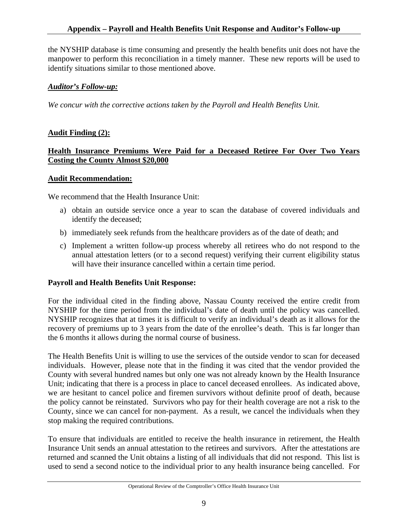the NYSHIP database is time consuming and presently the health benefits unit does not have the manpower to perform this reconciliation in a timely manner. These new reports will be used to identify situations similar to those mentioned above.

### *Auditor's Follow-up:*

*We concur with the corrective actions taken by the Payroll and Health Benefits Unit.* 

### **Audit Finding (2):**

### **Health Insurance Premiums Were Paid for a Deceased Retiree For Over Two Years Costing the County Almost \$20,000**

#### **Audit Recommendation:**

We recommend that the Health Insurance Unit:

- a) obtain an outside service once a year to scan the database of covered individuals and identify the deceased;
- b) immediately seek refunds from the healthcare providers as of the date of death; and
- c) Implement a written follow-up process whereby all retirees who do not respond to the annual attestation letters (or to a second request) verifying their current eligibility status will have their insurance cancelled within a certain time period.

### **Payroll and Health Benefits Unit Response:**

For the individual cited in the finding above, Nassau County received the entire credit from NYSHIP for the time period from the individual's date of death until the policy was cancelled. NYSHIP recognizes that at times it is difficult to verify an individual's death as it allows for the recovery of premiums up to 3 years from the date of the enrollee's death. This is far longer than the 6 months it allows during the normal course of business.

The Health Benefits Unit is willing to use the services of the outside vendor to scan for deceased individuals. However, please note that in the finding it was cited that the vendor provided the County with several hundred names but only one was not already known by the Health Insurance Unit; indicating that there is a process in place to cancel deceased enrollees. As indicated above, we are hesitant to cancel police and firemen survivors without definite proof of death, because the policy cannot be reinstated. Survivors who pay for their health coverage are not a risk to the County, since we can cancel for non-payment. As a result, we cancel the individuals when they stop making the required contributions.

To ensure that individuals are entitled to receive the health insurance in retirement, the Health Insurance Unit sends an annual attestation to the retirees and survivors. After the attestations are returned and scanned the Unit obtains a listing of all individuals that did not respond. This list is used to send a second notice to the individual prior to any health insurance being cancelled. For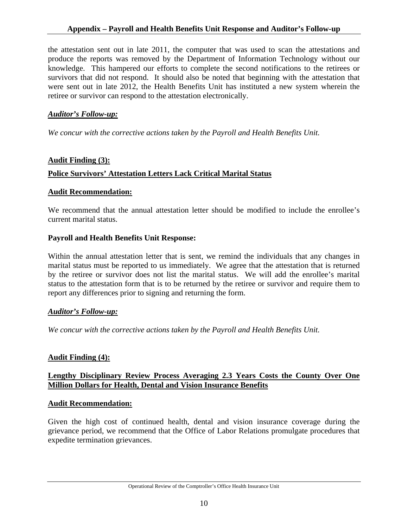### **Appendix – Payroll and Health Benefits Unit Response and Auditor's Follow-up**

the attestation sent out in late 2011, the computer that was used to scan the attestations and produce the reports was removed by the Department of Information Technology without our knowledge. This hampered our efforts to complete the second notifications to the retirees or survivors that did not respond. It should also be noted that beginning with the attestation that were sent out in late 2012, the Health Benefits Unit has instituted a new system wherein the retiree or survivor can respond to the attestation electronically.

#### *Auditor's Follow-up:*

*We concur with the corrective actions taken by the Payroll and Health Benefits Unit.* 

### **Audit Finding (3):**

### **Police Survivors' Attestation Letters Lack Critical Marital Status**

#### **Audit Recommendation:**

We recommend that the annual attestation letter should be modified to include the enrollee's current marital status.

### **Payroll and Health Benefits Unit Response:**

Within the annual attestation letter that is sent, we remind the individuals that any changes in marital status must be reported to us immediately. We agree that the attestation that is returned by the retiree or survivor does not list the marital status. We will add the enrollee's marital status to the attestation form that is to be returned by the retiree or survivor and require them to report any differences prior to signing and returning the form.

#### *Auditor's Follow-up:*

*We concur with the corrective actions taken by the Payroll and Health Benefits Unit.* 

### **Audit Finding (4):**

### **Lengthy Disciplinary Review Process Averaging 2.3 Years Costs the County Over One Million Dollars for Health, Dental and Vision Insurance Benefits**

#### **Audit Recommendation:**

Given the high cost of continued health, dental and vision insurance coverage during the grievance period, we recommend that the Office of Labor Relations promulgate procedures that expedite termination grievances.